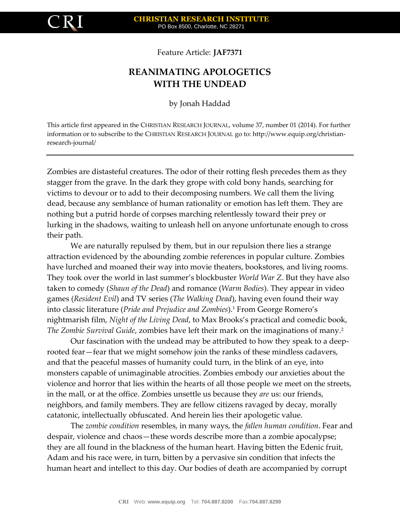

Feature Article: **JAF7371**

# **REANIMATING APOLOGETICS WITH THE UNDEAD**

by Jonah Haddad

This article first appeared in the CHRISTIAN RESEARCH JOURNAL, volume 37, number 01 (2014). For further information or to subscribe to the CHRISTIAN RESEARCH JOURNAL go to: http://www.equip.org/christianresearch-journal/

Zombies are distasteful creatures. The odor of their rotting flesh precedes them as they stagger from the grave. In the dark they grope with cold bony hands, searching for victims to devour or to add to their decomposing numbers. We call them the living dead, because any semblance of human rationality or emotion has left them. They are nothing but a putrid horde of corpses marching relentlessly toward their prey or lurking in the shadows, waiting to unleash hell on anyone unfortunate enough to cross their path.

We are naturally repulsed by them, but in our repulsion there lies a strange attraction evidenced by the abounding zombie references in popular culture. Zombies have lurched and moaned their way into movie theaters, bookstores, and living rooms. They took over the world in last summer's blockbuster *World War Z*. But they have also taken to comedy (*Shaun of the Dead*) and romance (*Warm Bodies*). They appear in video games (*Resident Evil*) and TV series (*The Walking Dead*), having even found their way into classic literature (*Pride and Prejudice and Zombies*).<sup>1</sup> From George Romero's nightmarish film, *Night of the Living Dead*, to Max Brooks's practical and comedic book, *The Zombie Survival Guide*, zombies have left their mark on the imaginations of many.<sup>2</sup>

Our fascination with the undead may be attributed to how they speak to a deeprooted fear—fear that we might somehow join the ranks of these mindless cadavers, and that the peaceful masses of humanity could turn, in the blink of an eye, into monsters capable of unimaginable atrocities. Zombies embody our anxieties about the violence and horror that lies within the hearts of all those people we meet on the streets, in the mall, or at the office. Zombies unsettle us because they *are* us: our friends, neighbors, and family members. They are fellow citizens ravaged by decay, morally catatonic, intellectually obfuscated. And herein lies their apologetic value.

The *zombie condition* resembles, in many ways, the *fallen human condition*. Fear and despair, violence and chaos—these words describe more than a zombie apocalypse; they are all found in the blackness of the human heart. Having bitten the Edenic fruit, Adam and his race were, in turn, bitten by a pervasive sin condition that infects the human heart and intellect to this day. Our bodies of death are accompanied by corrupt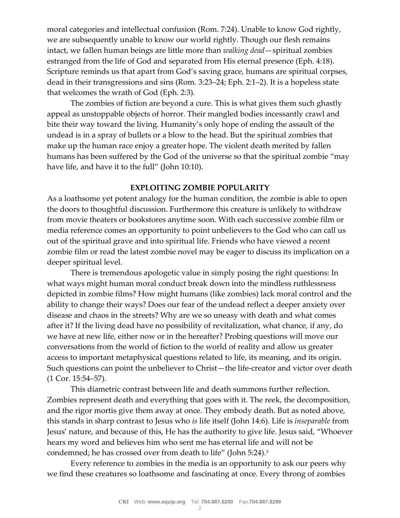moral categories and intellectual confusion (Rom. 7:24). Unable to know God rightly, we are subsequently unable to know our world rightly. Though our flesh remains intact, we fallen human beings are little more than *walking dead*—spiritual zombies estranged from the life of God and separated from His eternal presence (Eph. 4:18). Scripture reminds us that apart from God's saving grace, humans are spiritual corpses, dead in their transgressions and sins (Rom. 3:23–24; Eph. 2:1–2). It is a hopeless state that welcomes the wrath of God (Eph. 2:3).

The zombies of fiction are beyond a cure. This is what gives them such ghastly appeal as unstoppable objects of horror. Their mangled bodies incessantly crawl and bite their way toward the living. Humanity's only hope of ending the assault of the undead is in a spray of bullets or a blow to the head. But the spiritual zombies that make up the human race enjoy a greater hope. The violent death merited by fallen humans has been suffered by the God of the universe so that the spiritual zombie "may have life, and have it to the full" (John 10:10).

## **EXPLOITING ZOMBIE POPULARITY**

As a loathsome yet potent analogy for the human condition, the zombie is able to open the doors to thoughtful discussion. Furthermore this creature is unlikely to withdraw from movie theaters or bookstores anytime soon. With each successive zombie film or media reference comes an opportunity to point unbelievers to the God who can call us out of the spiritual grave and into spiritual life. Friends who have viewed a recent zombie film or read the latest zombie novel may be eager to discuss its implication on a deeper spiritual level.

There is tremendous apologetic value in simply posing the right questions: In what ways might human moral conduct break down into the mindless ruthlessness depicted in zombie films? How might humans (like zombies) lack moral control and the ability to change their ways? Does our fear of the undead reflect a deeper anxiety over disease and chaos in the streets? Why are we so uneasy with death and what comes after it? If the living dead have no possibility of revitalization, what chance, if any, do we have at new life, either now or in the hereafter? Probing questions will move our conversations from the world of fiction to the world of reality and allow us greater access to important metaphysical questions related to life, its meaning, and its origin. Such questions can point the unbeliever to Christ—the life-creator and victor over death (1 Cor. 15:54–57).

This diametric contrast between life and death summons further reflection. Zombies represent death and everything that goes with it. The reek, the decomposition, and the rigor mortis give them away at once. They embody death. But as noted above, this stands in sharp contrast to Jesus who *is* life itself (John 14:6). Life is *inseparable* from Jesus' nature, and because of this, He has the authority to give life. Jesus said, "Whoever hears my word and believes him who sent me has eternal life and will not be condemned; he has crossed over from death to life" (John 5:24).<sup>3</sup>

Every reference to zombies in the media is an opportunity to ask our peers why we find these creatures so loathsome and fascinating at once. Every throng of zombies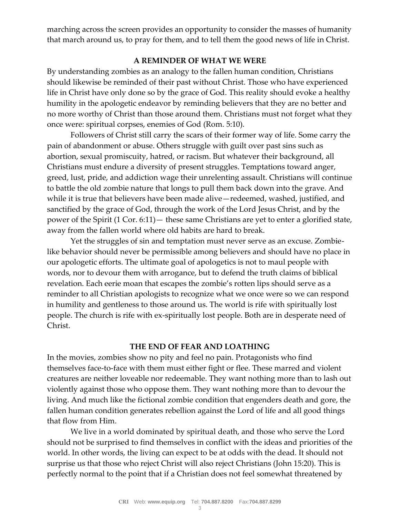marching across the screen provides an opportunity to consider the masses of humanity that march around us, to pray for them, and to tell them the good news of life in Christ.

## **A REMINDER OF WHAT WE WERE**

By understanding zombies as an analogy to the fallen human condition, Christians should likewise be reminded of their past without Christ. Those who have experienced life in Christ have only done so by the grace of God. This reality should evoke a healthy humility in the apologetic endeavor by reminding believers that they are no better and no more worthy of Christ than those around them. Christians must not forget what they once were: spiritual corpses, enemies of God (Rom. 5:10).

Followers of Christ still carry the scars of their former way of life. Some carry the pain of abandonment or abuse. Others struggle with guilt over past sins such as abortion, sexual promiscuity, hatred, or racism. But whatever their background, all Christians must endure a diversity of present struggles. Temptations toward anger, greed, lust, pride, and addiction wage their unrelenting assault. Christians will continue to battle the old zombie nature that longs to pull them back down into the grave. And while it is true that believers have been made alive—redeemed, washed, justified, and sanctified by the grace of God, through the work of the Lord Jesus Christ, and by the power of the Spirit (1 Cor. 6:11)— these same Christians are yet to enter a glorified state, away from the fallen world where old habits are hard to break.

Yet the struggles of sin and temptation must never serve as an excuse. Zombielike behavior should never be permissible among believers and should have no place in our apologetic efforts. The ultimate goal of apologetics is not to maul people with words, nor to devour them with arrogance, but to defend the truth claims of biblical revelation. Each eerie moan that escapes the zombie's rotten lips should serve as a reminder to all Christian apologists to recognize what we once were so we can respond in humility and gentleness to those around us. The world is rife with spiritually lost people. The church is rife with ex-spiritually lost people. Both are in desperate need of Christ.

## **THE END OF FEAR AND LOATHING**

In the movies, zombies show no pity and feel no pain. Protagonists who find themselves face-to-face with them must either fight or flee. These marred and violent creatures are neither loveable nor redeemable. They want nothing more than to lash out violently against those who oppose them. They want nothing more than to devour the living. And much like the fictional zombie condition that engenders death and gore, the fallen human condition generates rebellion against the Lord of life and all good things that flow from Him.

We live in a world dominated by spiritual death, and those who serve the Lord should not be surprised to find themselves in conflict with the ideas and priorities of the world. In other words, the living can expect to be at odds with the dead. It should not surprise us that those who reject Christ will also reject Christians (John 15:20). This is perfectly normal to the point that if a Christian does not feel somewhat threatened by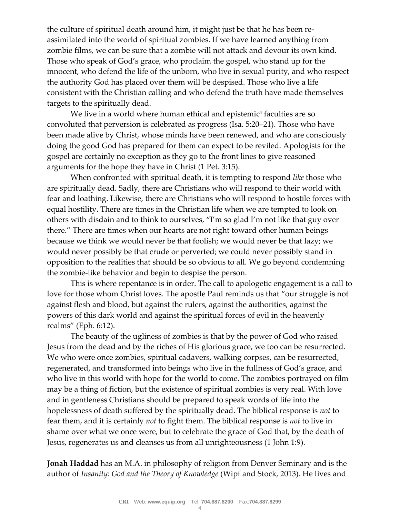the culture of spiritual death around him, it might just be that he has been reassimilated into the world of spiritual zombies. If we have learned anything from zombie films, we can be sure that a zombie will not attack and devour its own kind. Those who speak of God's grace, who proclaim the gospel, who stand up for the innocent, who defend the life of the unborn, who live in sexual purity, and who respect the authority God has placed over them will be despised. Those who live a life consistent with the Christian calling and who defend the truth have made themselves targets to the spiritually dead.

We live in a world where human ethical and epistemic $\rm ^4$  faculties are so convoluted that perversion is celebrated as progress (Isa. 5:20–21). Those who have been made alive by Christ, whose minds have been renewed, and who are consciously doing the good God has prepared for them can expect to be reviled. Apologists for the gospel are certainly no exception as they go to the front lines to give reasoned arguments for the hope they have in Christ (1 Pet. 3:15).

When confronted with spiritual death, it is tempting to respond *like* those who are spiritually dead. Sadly, there are Christians who will respond to their world with fear and loathing. Likewise, there are Christians who will respond to hostile forces with equal hostility. There are times in the Christian life when we are tempted to look on others with disdain and to think to ourselves, "I'm so glad I'm not like that guy over there." There are times when our hearts are not right toward other human beings because we think we would never be that foolish; we would never be that lazy; we would never possibly be that crude or perverted; we could never possibly stand in opposition to the realities that should be so obvious to all. We go beyond condemning the zombie-like behavior and begin to despise the person.

This is where repentance is in order. The call to apologetic engagement is a call to love for those whom Christ loves. The apostle Paul reminds us that "our struggle is not against flesh and blood, but against the rulers, against the authorities, against the powers of this dark world and against the spiritual forces of evil in the heavenly realms" (Eph. 6:12).

The beauty of the ugliness of zombies is that by the power of God who raised Jesus from the dead and by the riches of His glorious grace, we too can be resurrected. We who were once zombies, spiritual cadavers, walking corpses, can be resurrected, regenerated, and transformed into beings who live in the fullness of God's grace, and who live in this world with hope for the world to come. The zombies portrayed on film may be a thing of fiction, but the existence of spiritual zombies is very real. With love and in gentleness Christians should be prepared to speak words of life into the hopelessness of death suffered by the spiritually dead. The biblical response is *not* to fear them, and it is certainly *not* to fight them. The biblical response is *not* to live in shame over what we once were, but to celebrate the grace of God that, by the death of Jesus, regenerates us and cleanses us from all unrighteousness (1 John 1:9).

**Jonah Haddad** has an M.A. in philosophy of religion from Denver Seminary and is the author of *Insanity: God and the Theory of Knowledge* (Wipf and Stock, 2013). He lives and